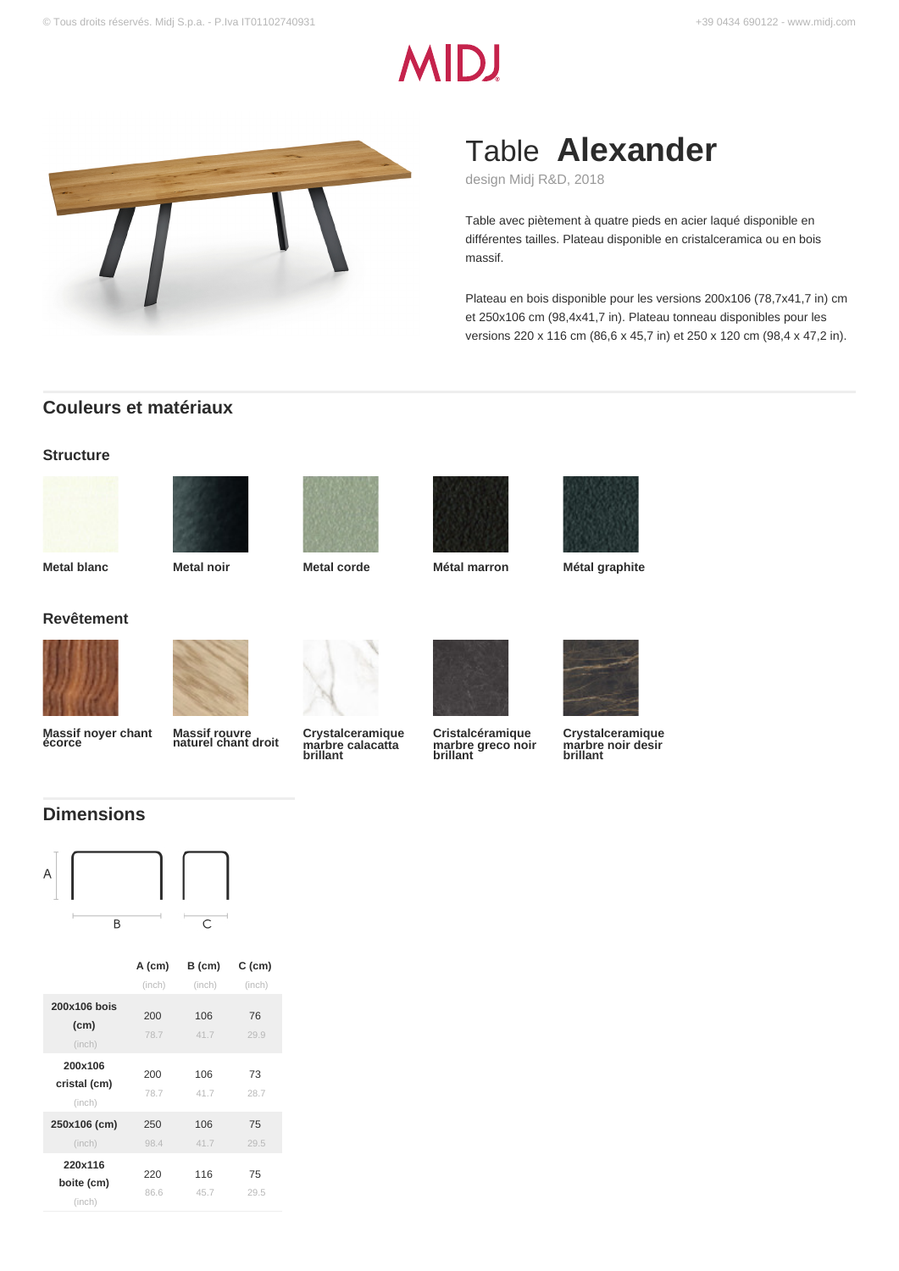# **MIDJ**



# Table **Alexander**

design Midj R&D, 2018

Table avec piètement à quatre pieds en acier laqué disponible en différentes tailles. Plateau disponible en cristalceramica ou en bois massif.

Plateau en bois disponible pour les versions 200x106 (78,7x41,7 in) cm et 250x106 cm (98,4x41,7 in). Plateau tonneau disponibles pour les versions 220 x 116 cm (86,6 x 45,7 in) et 250 x 120 cm (98,4 x 47,2 in).

## **Couleurs et matériaux**

#### **Structure**











**Metal blanc Metal noir Metal corde Métal marron Métal graphite**



**Revêtement**



**Massif noyer chant écorce**



**Massif rouvre naturel chant droit**



**Crystalceramique marbre calacatta brillant**



**Cristalcéramique marbre greco noir brillant**



**Crystalceramique marbre noir desir brillant**

# **Dimensions**



| $\overline{\phantom{a}}$ | <b>START PRODUCTS</b> | $\overline{C}$ |
|--------------------------|-----------------------|----------------|
|                          |                       |                |
|                          |                       |                |

|                                   | A (cm)      | B (cm)      | $C$ (cm)   |
|-----------------------------------|-------------|-------------|------------|
|                                   | (inch)      | (inch)      | (inch)     |
| 200x106 bois<br>(cm)<br>(inch)    | 200<br>78.7 | 106<br>41.7 | 76<br>29.9 |
| 200x106<br>cristal (cm)<br>(inch) | 200<br>78.7 | 106<br>41.7 | 73<br>28.7 |
| 250x106 (cm)<br>(inch)            | 250<br>98.4 | 106<br>41.7 | 75<br>29.5 |
| 220x116<br>boite (cm)<br>(inch)   | 220<br>86.6 | 116<br>45.7 | 75<br>29.5 |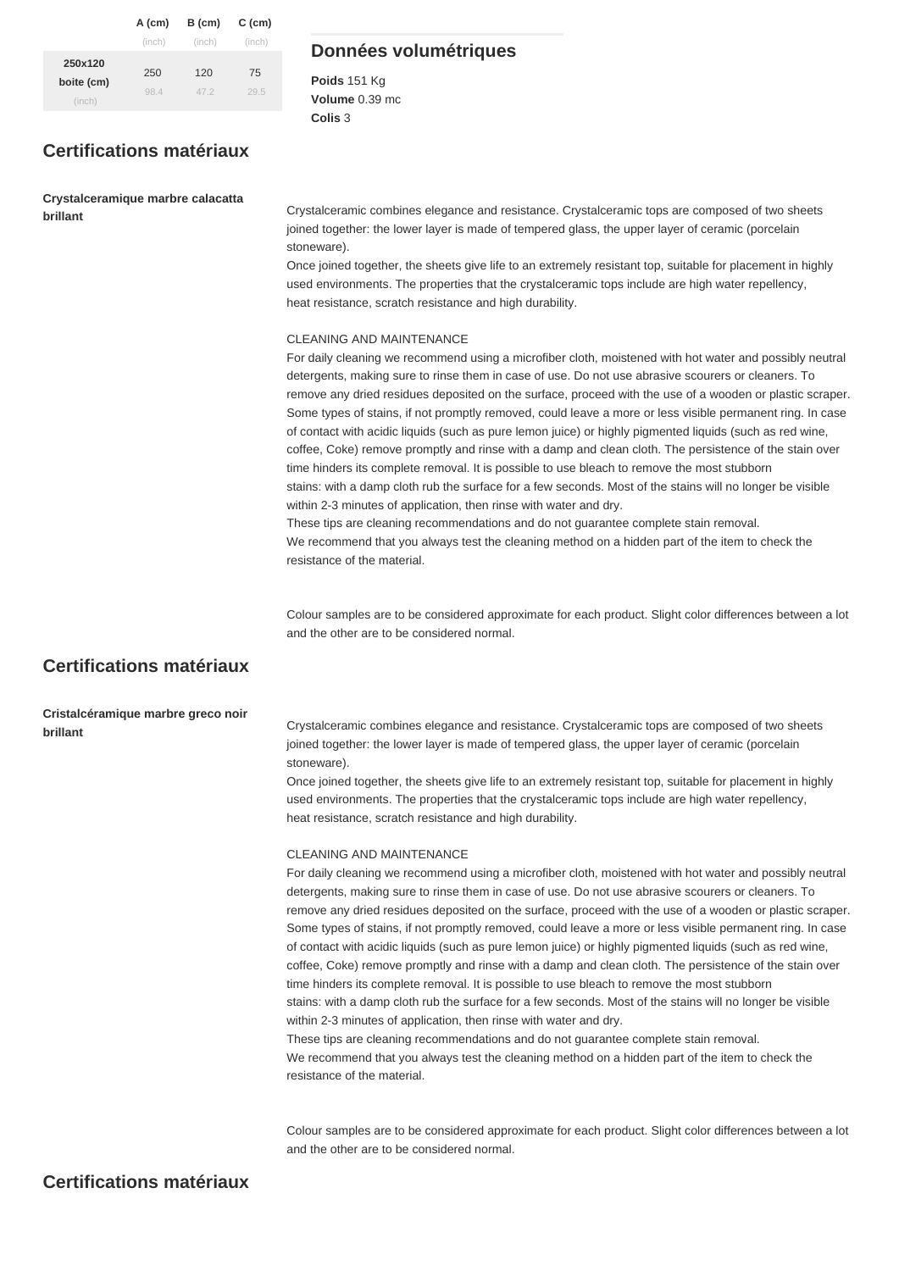|                                 | A (cm)     | B (cm)     | C (cm)     |
|---------------------------------|------------|------------|------------|
|                                 | (inch)     | (inch)     | (inch)     |
| 250x120<br>boite (cm)<br>(inch) | 250<br>984 | 120<br>472 | 75<br>29.5 |

# **Certifications matériaux**

**Crystalceramique marbre calacatta** 

### **Données volumétriques**

**Poids** 151 Kg **Volume** 0.39 mc **Colis** 3

**brillant** Crystalceramic combines elegance and resistance. Crystalceramic tops are composed of two sheets joined together: the lower layer is made of tempered glass, the upper layer of ceramic (porcelain stoneware).

> Once joined together, the sheets give life to an extremely resistant top, suitable for placement in highly used environments. The properties that the crystalceramic tops include are high water repellency, heat resistance, scratch resistance and high durability.

#### CLEANING AND MAINTENANCE

For daily cleaning we recommend using a microfiber cloth, moistened with hot water and possibly neutral detergents, making sure to rinse them in case of use. Do not use abrasive scourers or cleaners. To remove any dried residues deposited on the surface, proceed with the use of a wooden or plastic scraper. Some types of stains, if not promptly removed, could leave a more or less visible permanent ring. In case of contact with acidic liquids (such as pure lemon juice) or highly pigmented liquids (such as red wine, coffee, Coke) remove promptly and rinse with a damp and clean cloth. The persistence of the stain over time hinders its complete removal. It is possible to use bleach to remove the most stubborn stains: with a damp cloth rub the surface for a few seconds. Most of the stains will no longer be visible within 2-3 minutes of application, then rinse with water and dry. These tips are cleaning recommendations and do not guarantee complete stain removal.

We recommend that you always test the cleaning method on a hidden part of the item to check the resistance of the material.

Colour samples are to be considered approximate for each product. Slight color differences between a lot and the other are to be considered normal.

# **Certifications matériaux**

# **Cristalcéramique marbre greco noir**

**brillant brillant** Crystalceramic combines elegance and resistance. Crystalceramic tops are composed of two sheets joined together: the lower layer is made of tempered glass, the upper layer of ceramic (porcelain stoneware).

> Once joined together, the sheets give life to an extremely resistant top, suitable for placement in highly used environments. The properties that the crystalceramic tops include are high water repellency, heat resistance, scratch resistance and high durability.

#### CLEANING AND MAINTENANCE

For daily cleaning we recommend using a microfiber cloth, moistened with hot water and possibly neutral detergents, making sure to rinse them in case of use. Do not use abrasive scourers or cleaners. To remove any dried residues deposited on the surface, proceed with the use of a wooden or plastic scraper. Some types of stains, if not promptly removed, could leave a more or less visible permanent ring. In case of contact with acidic liquids (such as pure lemon juice) or highly pigmented liquids (such as red wine, coffee, Coke) remove promptly and rinse with a damp and clean cloth. The persistence of the stain over time hinders its complete removal. It is possible to use bleach to remove the most stubborn stains: with a damp cloth rub the surface for a few seconds. Most of the stains will no longer be visible within 2-3 minutes of application, then rinse with water and dry. These tips are cleaning recommendations and do not guarantee complete stain removal. We recommend that you always test the cleaning method on a hidden part of the item to check the resistance of the material.

Colour samples are to be considered approximate for each product. Slight color differences between a lot and the other are to be considered normal.

### **Certifications matériaux**